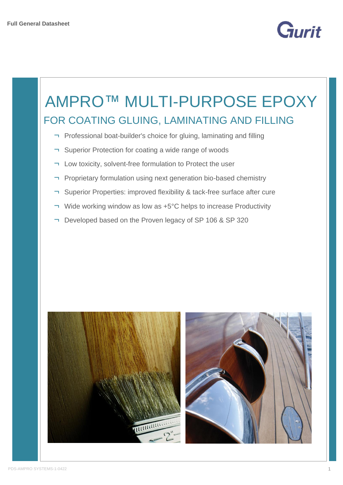

# AMPRO™ MULTI-PURPOSE EPOXY FOR COATING GLUING, LAMINATING AND FILLING

- ¬ Professional boat-builder's choice for gluing, laminating and filling
- ¬ Superior Protection for coating a wide range of woods
- ¬ Low toxicity, solvent-free formulation to Protect the user
- ¬ Proprietary formulation using next generation bio-based chemistry
- ¬ Superior Properties: improved flexibility & tack-free surface after cure
- ¬ Wide working window as low as +5°C helps to increase Productivity
- ¬ Developed based on the Proven legacy of SP 106 & SP 320

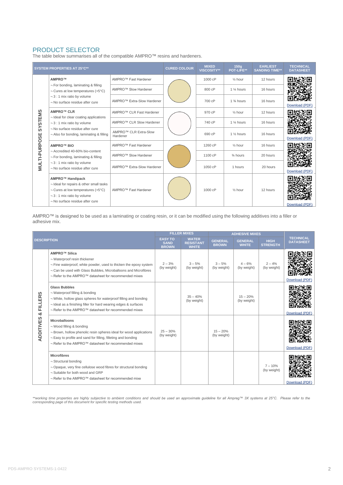## PRODUCT SELECTOR

The table below summarises all of the compatible AMPRO™ resins and hardeners.

| <b>SYSTEM PROPERTIES AT 25°C**</b>                     |                                                                                                                                                                                     |                                               | <b>CURED COLOUR</b> | <b>MIXED</b><br>VISCOSITY** | 150a<br>POT-LIFE**      | <b>EARLIEST</b><br><b>SANDING TIME**</b> | <b>TECHNICAL</b><br><b>DATASHEET</b> |
|--------------------------------------------------------|-------------------------------------------------------------------------------------------------------------------------------------------------------------------------------------|-----------------------------------------------|---------------------|-----------------------------|-------------------------|------------------------------------------|--------------------------------------|
| <b>STEMS</b><br>$\overline{s}$<br><b>MULTI-PURPOSE</b> | AMPRO™                                                                                                                                                                              | AMPRO <sup>™</sup> Fast Hardener              |                     | 1000 cP                     | $\frac{1}{2}$ hour      | 12 hours                                 |                                      |
|                                                        | $\neg$ For bonding, laminating & filling<br>¬ Cures at low temperatures (+5°C)<br>$\neg$ 3 : 1 mix ratio by volume<br>¬ No surface residue after cure                               | AMPRO <sup>™</sup> Slow Hardener              |                     | 800 cP                      | 1 % hours               | 16 hours                                 |                                      |
|                                                        |                                                                                                                                                                                     | AMPRO™ Extra-Slow Hardener                    |                     | 700 cP                      | 1 % hours               | 16 hours                                 | Download (PDF)                       |
|                                                        | <b>AMPRO™ CLR</b><br>¬ Ideal for clear coating applications<br>$\neg$ 3 : 1 mix ratio by volume<br>¬ No surface residue after cure<br>$\neg$ Also for bonding, laminating & filling | AMPRO™ CLR Fast Hardener                      |                     | 970 cP                      | 1/ <sub>2</sub> hour    | 12 hours                                 |                                      |
|                                                        |                                                                                                                                                                                     | AMPRO™ CLR Slow Hardener                      |                     | 740 cP                      | 1 % hours               | 16 hours                                 |                                      |
|                                                        |                                                                                                                                                                                     | AMPRO <sup>™</sup> CLR Extra-Slow<br>Hardener |                     | 690 cP                      | 1 1/ <sub>2</sub> hours | 16 hours                                 | Download (PDF)                       |
|                                                        | <b>AMPRO™ BIO</b>                                                                                                                                                                   | AMPRO <sup>™</sup> Fast Hardener              |                     | 1260 cP                     | $\frac{1}{2}$ hour      | 16 hours                                 |                                      |
|                                                        | ¬ Accredited 40-60% bio-content<br>$\neg$ For bonding, laminating & filling<br>$\neg$ 3 : 1 mix ratio by volume<br>- No surface residue after cure                                  | AMPRO™ Slow Hardener                          |                     | 1100 cP                     | 3⁄4 hours               | 20 hours                                 |                                      |
|                                                        |                                                                                                                                                                                     | AMPRO™ Extra-Slow Hardener                    |                     | 1050 cP                     | 1 hours                 | 20 hours                                 | Download (PDF)                       |
|                                                        | <b>AMPRO™ Handipack</b><br>¬ Ideal for repairs & other small tasks<br>¬ Cures at low temperatures (+5°C)<br>$\neg$ 3 : 1 mix ratio by volume<br>- No surface residue after cure     | AMPRO™ Fast Hardener                          |                     | 1000 cP                     | 1/ <sub>2</sub> hour    | 12 hours                                 | Download (PDF)                       |

AMPRO™ is designed to be used as a laminating or coating resin, or it can be modified using the following additives into a filler or adhesive mix.

| <b>DESCRIPTION</b>                       |                                                                                                                                                                                                                                                            | <b>FILLER MIXES</b>                           |                                                  | <b>ADHESIVE MIXES</b>          |                                |                                |                                      |
|------------------------------------------|------------------------------------------------------------------------------------------------------------------------------------------------------------------------------------------------------------------------------------------------------------|-----------------------------------------------|--------------------------------------------------|--------------------------------|--------------------------------|--------------------------------|--------------------------------------|
|                                          |                                                                                                                                                                                                                                                            | <b>EASY TO</b><br><b>SAND</b><br><b>BROWN</b> | <b>WATER</b><br><b>RESISTANT</b><br><b>WHITE</b> | <b>GENERAL</b><br><b>BROWN</b> | <b>GENERAL</b><br><b>WHITE</b> | <b>HIGH</b><br><b>STRENGTH</b> | <b>TECHNICAL</b><br><b>DATASHEET</b> |
|                                          | AMPRO <sup>™</sup> Silica<br>¬ Waterproof resin thickener<br>- Fine waterproof, white powder, used to thicken the epoxy system<br>¬ Can be used with Glass Bubbles, Microballoons and Microfibres<br>¬ Refer to the AMPRO™ datasheet for recommended mixes | $2 - 3%$<br>(by weight)                       | $3 - 5%$<br>(by weight)                          | $3 - 5%$<br>(by weight)        | $4 - 6%$<br>(by weight)        | $2 - 4%$<br>(by weight)        | Download (PDF)                       |
| <b>FILLERS</b><br>න්<br><b>ADDITIVES</b> | <b>Glass Bubbles</b><br>→ Waterproof filling & bonding<br>¬ White, hollow glass spheres for waterproof filling and bonding<br>¬ Ideal as a finishing filler for hard wearing edges & surfaces<br>¬ Refer to the AMPRO™ datasheet for recommended mixes     |                                               | $35 - 40%$<br>(by weight)                        |                                | $15 - 20%$<br>(by weight)      |                                | Download (PDF)                       |
|                                          | Microballoons<br>¬ Wood filling & bonding<br>¬ Brown, hollow phenolic resin spheres ideal for wood applications<br>- Easy to profile and sand for filling, filleting and bonding<br>¬ Refer to the AMPRO™ datasheet for recommended mixes                  | $25 - 30%$<br>(by weight)                     |                                                  | $15 - 20%$<br>(by weight)      |                                |                                | Download (PDF)                       |
|                                          | <b>Microfibres</b><br>¬ Structural bonding<br>¬ Opaque, very fine cellulose wood fibres for structural bonding<br>→ Suitable for both wood and GRP<br>¬ Refer to the AMPRO™ datasheet for recommended mixe                                                 |                                               |                                                  |                                |                                | $7 - 10%$<br>(by weight)       | Download (PDF)                       |

\*\*working time properties are highly subjective to ambient conditions and should be used an approximate guideline for all Ampreg™ 3X systems at 25°C. Please refer to the<br>corresponding page of this document for specific te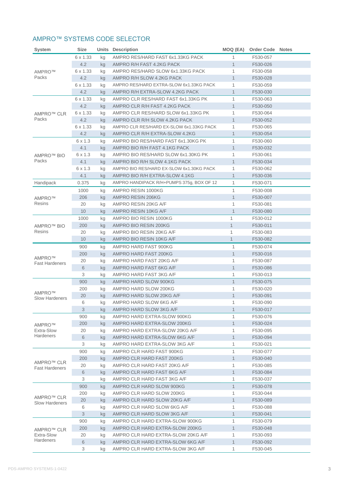# AMPRO™ SYSTEMS CODE SELECTOR

| <b>System</b>                   | <b>Size</b> |    | <b>Units Description</b>                  | MOQ (EA)     | <b>Order Code Notes</b> |  |
|---------------------------------|-------------|----|-------------------------------------------|--------------|-------------------------|--|
|                                 | 6 x 1.33    | kg | AMPRO RES/HARD FAST 6x1.33KG PACK         | 1.           | F530-057                |  |
|                                 | 4.2         | kg | AMPRO R/H FAST 4.2KG PACK                 | $\mathbf{1}$ | F530-026                |  |
| AMPRO™                          | 6 x 1.33    | kg | AMPRO RES/HARD SLOW 6x1.33KG PACK         | $\mathbf{1}$ | F530-058                |  |
| Packs                           | 4.2         | kg | AMPRO R/H SLOW 4.2KG PACK                 | $\mathbf{1}$ | F530-028                |  |
|                                 | 6 x 1.33    | kg | AMPRO RES/HARD EXTRA-SLOW 6x1.33KG PACK   | 1            | F530-059                |  |
|                                 | 4.2         | kg | AMPRO R/H EXTRA-SLOW 4.2KG PACK           | $\mathbf{1}$ | F530-030                |  |
|                                 | 6 x 1.33    | kg | AMPRO CLR RES/HARD FAST 6x1.33KG PK       | $\mathbf{1}$ | F530-063                |  |
|                                 | 4.2         | kg | AMPRO CLR R/H FAST 4.2KG PACK             | $\mathbf{1}$ | F530-050                |  |
| AMPRO™ CLR                      | 6 x 1.33    | kg | AMPRO CLR RES/HARD SLOW 6x1.33KG PK       | 1            | F530-064                |  |
| Packs                           | 4.2         | kg | AMPRO CLR R/H SLOW 4.2KG PACK             | $\mathbf{1}$ | F530-052                |  |
|                                 | 6 x 1.33    | kg | AMPRO CLR RES/HARD EX-SLOW 6x1.33KG PACK  | 1            | F530-065                |  |
|                                 | 4.2         | kg | AMPRO CLR R/H EXTRA-SLOW 4.2KG            | $\mathbf{1}$ | F530-054                |  |
|                                 | 6 x 1.3     | kg | AMPRO BIO RES/HARD FAST 6x1.30KG PK       | $\mathbf{1}$ | F530-060                |  |
|                                 | 4.1         | kg | AMPRO BIO R/H FAST 4.1KG PACK             | $\mathbf{1}$ | F530-032                |  |
| AMPRO™ BIO                      | 6 x 1.3     | kg | AMPRO BIO RES/HARD SLOW 6x1.30KG PK       | 1            | F530-061                |  |
| Packs                           | 4.1         | kg | AMPRO BIO R/H SLOW 4.1KG PACK             | $\mathbf{1}$ | F530-034                |  |
|                                 | 6 x 1.3     | kg | AMPRO BIO RES/HARD EX-SLOW 6x1.30KG PACK  | 1            | F530-062                |  |
|                                 | 4.1         | kg | AMPRO BIO R/H EXTRA-SLOW 4.1KG            | $\mathbf{1}$ | F530-036                |  |
| Handipack                       | 0.375       | kg | AMPRO HANDIPACK R/H+PUMPS 375g, BOX OF 12 | $\mathbf{1}$ | F530-071                |  |
|                                 |             |    |                                           |              |                         |  |
|                                 | 1000        | kg | AMPRO RESIN 1000KG                        | $\mathbf{1}$ | F530-008                |  |
| AMPRO™<br>Resins                | 206         | kg | AMPRO RESIN 206KG                         | $\mathbf{1}$ | F530-007                |  |
|                                 | 20          | kg | AMPRO RESIN 20KG A/F                      | 1            | F530-081                |  |
|                                 | 10          | kg | AMPRO RESIN 10KG A/F                      | $\mathbf{1}$ | F530-080                |  |
|                                 | 1000        | kg | AMPRO BIO RESIN 1000KG                    | 1            | F530-012                |  |
| AMPRO™ BIO                      | 200         | kg | AMPRO BIO RESIN 200KG                     | $\mathbf{1}$ | F530-011                |  |
| <b>Resins</b>                   | 20          | kg | AMPRO BIO RESIN 20KG A/F                  | 1            | F530-083                |  |
|                                 | 10          | kg | AMPRO BIO RESIN 10KG A/F                  | $\mathbf{1}$ | F530-082                |  |
|                                 | 900         | kg | AMPRO HARD FAST 900KG                     | 1            | F530-074                |  |
| AMPRO™                          | 200         | kg | AMPRO HARD FAST 200KG                     | $\mathbf{1}$ | F530-016                |  |
| <b>Fast Hardeners</b>           | 20          | kg | AMPRO HARD FAST 20KG A/F                  | 1            | F530-087                |  |
|                                 | 6           | kg | AMPRO HARD FAST 6KG A/F                   | $\mathbf{1}$ | F530-086                |  |
|                                 | 3           | kg | AMPRO HARD FAST 3KG A/F                   | 1            | F530-013                |  |
|                                 | 900         | kg | AMPRO HARD SLOW 900KG                     | $\mathbf{1}$ | F530-075                |  |
|                                 | 200         | kg | AMPRO HARD SLOW 200KG                     | 1            | F530-020                |  |
| AMPRO™<br><b>Slow Hardeners</b> | 20          | kg | AMPRO HARD SLOW 20KG A/F                  | 1            | F530-091                |  |
|                                 | 6           | kg | AMPRO HARD SLOW 6KG A/F                   | 1            | F530-090                |  |
|                                 | 3           | kg | AMPRO HARD SLOW 3KG A/F                   | $\mathbf{1}$ | F530-017                |  |
|                                 | 900         | kg | AMPRO HARD EXTRA-SLOW 900KG               | 1            | F530-076                |  |
| AMPRO™                          | 200         | kg | AMPRO HARD EXTRA-SLOW 200KG               | 1            | F530-024                |  |
| Extra-Slow                      | 20          | kg | AMPRO HARD EXTRA-SLOW 20KG A/F            | 1            | F530-095                |  |
| <b>Hardeners</b>                | 6           | kg | AMPRO HARD EXTRA-SLOW 6KG A/F             | $\mathbf{1}$ | F530-094                |  |
|                                 | 3           | kg | AMPRO HARD EXTRA-SLOW 3KG A/F             | 1            | F530-021                |  |
|                                 | 900         | kg | AMPRO CLR HARD FAST 900KG                 | 1            | F530-077                |  |
|                                 | 200         | kg | AMPRO CLR HARD FAST 200KG                 | $\mathbf{1}$ | F530-040                |  |
| AMPRO™ CLR                      | 20          | kg | AMPRO CLR HARD FAST 20KG A/F              | 1            | F530-085                |  |
| <b>Fast Hardeners</b>           | 6           | kg | AMPRO CLR HARD FAST 6KG A/F               | $\mathbf{1}$ | F530-084                |  |
|                                 | 3           | kg | AMPRO CLR HARD FAST 3KG A/F               | 1            | F530-037                |  |
|                                 | 900         | kg | AMPRO CLR HARD SLOW 900KG                 | $\mathbf{1}$ | F530-078                |  |
|                                 | 200         | kg | AMPRO CLR HARD SLOW 200KG                 | 1            | F530-044                |  |
| AMPRO™ CLR                      | 20          | kg | AMPRO CLR HARD SLOW 20KG A/F              | $\mathbf{1}$ | F530-089                |  |
| <b>Slow Hardeners</b>           | 6           | kg | AMPRO CLR HARD SLOW 6KG A/F               | 1            | F530-088                |  |
|                                 | 3           | kg | AMPRO CLR HARD SLOW 3KG A/F               | 1            | F530-041                |  |
|                                 |             |    |                                           |              |                         |  |
|                                 | 900         | kg | AMPRO CLR HARD EXTRA-SLOW 900KG           | 1            | F530-079                |  |
| AMPRO <sup>™</sup> CLR          | 200         | kg | AMPRO CLR HARD EXTRA-SLOW 200KG           | $\mathbf{1}$ | F530-048                |  |
| Extra-Slow<br><b>Hardeners</b>  | 20          | kg | AMPRO CLR HARD EXTRA-SLOW 20KG A/F        | 1            | F530-093                |  |
|                                 | $\,6\,$     | kg | AMPRO CLR HARD EXTRA-SLOW 6KG A/F         | $\mathbf{1}$ | F530-092                |  |
|                                 | 3           | kg | AMPRO CLR HARD EXTRA-SLOW 3KG A/F         | 1            | F530-045                |  |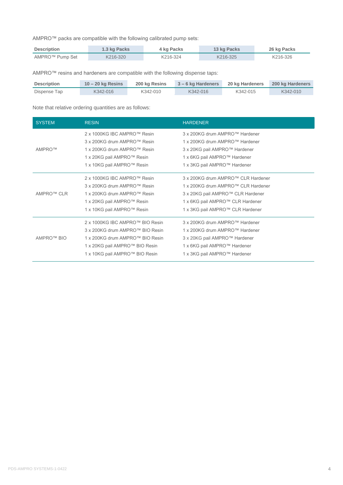AMPRO™ packs are compatible with the following calibrated pump sets:

| Description     | 1.3 kg Packs | 4 kg Packs | 13 kg Packs | 26 kg Packs |
|-----------------|--------------|------------|-------------|-------------|
| AMPRO™ Pump Set | K216-320     | K216-324   | K216-325    | K216-326    |

AMPRO™ resins and hardeners are compatible with the following dispense taps:

| <b>Description</b> | $10 - 20$ kg Resins | 200 kg Resins | $3 - 6$ kg Hardeners | 20 kg Hardeners | 200 kg Hardeners |
|--------------------|---------------------|---------------|----------------------|-----------------|------------------|
| Dispense Tap       | K342-016            | K342-010      | K342-016             | K342-015        | K342-010         |

Note that relative ordering quantities are as follows:

| <b>SYSTEM</b> | <b>RESIN</b>                    | <b>HARDENER</b>                    |
|---------------|---------------------------------|------------------------------------|
|               | 2 x 1000KG IBC AMPRO™ Resin     | 3 x 200KG drum AMPRO™ Hardener     |
|               | 3 x 200KG drum AMPRO™ Resin     | 1 x 200KG drum AMPRO™ Hardener     |
| AMPRO™        | 1 x 200KG drum AMPRO™ Resin     | 3 x 20KG pail AMPRO™ Hardener      |
|               | 1 x 20KG pail AMPRO™ Resin      | 1 x 6KG pail AMPRO™ Hardener       |
|               | 1 x 10KG pail AMPRO™ Resin      | 1 x 3KG pail AMPRO™ Hardener       |
|               | 2 x 1000KG IBC AMPRO™ Resin     | 3 x 200KG drum AMPRO™ CLR Hardener |
|               | 3 x 200KG drum AMPRO™ Resin     | 1 x 200KG drum AMPRO™ CLR Hardener |
| AMPRO™ CLR    | 1 x 200KG drum AMPRO™ Resin     | 3 x 20KG pail AMPRO™ CLR Hardener  |
|               | 1 x 20KG pail AMPRO™ Resin      | 1 x 6KG pail AMPRO™ CLR Hardener   |
|               | 1 x 10KG pail AMPRO™ Resin      | 1 x 3KG pail AMPRO™ CLR Hardener   |
|               | 2 x 1000KG IBC AMPRO™ BIO Resin | 3 x 200KG drum AMPRO™ Hardener     |
|               | 3 x 200KG drum AMPRO™ BIO Resin | 1 x 200KG drum AMPRO™ Hardener     |
| AMPRO™ BIO    | 1 x 200KG drum AMPRO™ BIO Resin | 3 x 20KG pail AMPRO™ Hardener      |
|               | 1 x 20KG pail AMPRO™ BIO Resin  | 1 x 6KG pail AMPRO™ Hardener       |
|               | 1 x 10KG pail AMPRO™ BIO Resin  | 1 x 3KG pail AMPRO™ Hardener       |